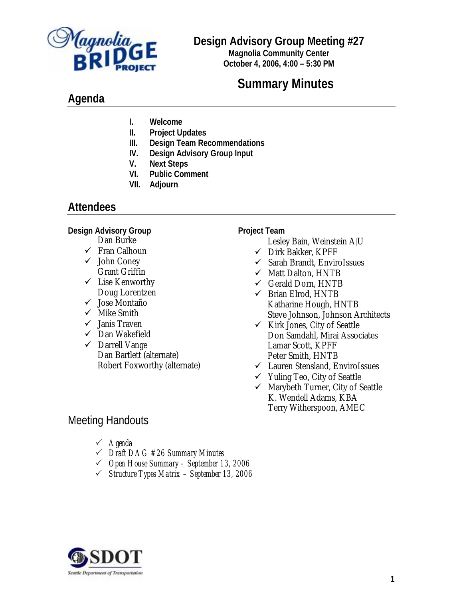

# **Design Advisory Group Meeting #27**

**Magnolia Community Center October 4, 2006, 4:00 – 5:30 PM**

# **Summary Minutes**

# **Agenda**

- **I. Welcome**
- **II. Project Updates**
- **III. Design Team Recommendations**
- **IV. Design Advisory Group Input**
- **V. Next Steps**
- **VI. Public Comment**
- **VII. Adjourn**

# **Attendees**

#### **Design Advisory Group**

- Dan Burke
- $\checkmark$  Fran Calhoun
- $\checkmark$  John Coney Grant Griffin
- $\checkmark$  Lise Kenworthy Doug Lorentzen
- $\checkmark$  Jose Montaño
- $\checkmark$  Mike Smith
- $\checkmark$  Janis Traven
- $\checkmark$  Dan Wakefield
- $\checkmark$  Darrell Vange Dan Bartlett (alternate) Robert Foxworthy (alternate)

#### **Project Team**

- Lesley Bain, Weinstein A|U
- $\checkmark$  Dirk Bakker, KPFF
- $\checkmark$  Sarah Brandt, EnviroIssues
- $\checkmark$  Matt Dalton, HNTB
- $\checkmark$  Gerald Dorn, HNTB
- $\checkmark$  Brian Elrod, HNTB Katharine Hough, HNTB Steve Johnson, Johnson Architects
- $\checkmark$  Kirk Jones, City of Seattle Don Samdahl, Mirai Associates Lamar Scott, KPFF Peter Smith, HNTB
- $\checkmark$  Lauren Stensland, EnviroIssues
- $\checkmark$  Yuling Teo, City of Seattle
- $\checkmark$  Marybeth Turner, City of Seattle K. Wendell Adams, KBA Terry Witherspoon, AMEC

# Meeting Handouts

- 3 *Agenda*
- 3 *Draft DAG #26 Summary Minutes*
- 3 *Open House Summary September 13, 2006*
- 3 *Structure Types Matrix September 13, 2006*

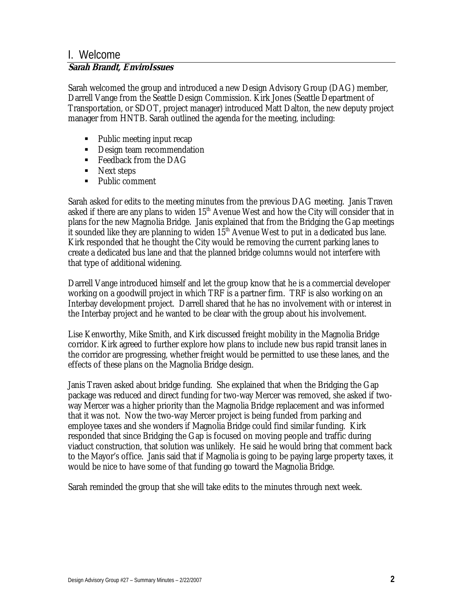# I. Welcome

### **Sarah Brandt, EnviroIssues**

Sarah welcomed the group and introduced a new Design Advisory Group (DAG) member, Darrell Vange from the Seattle Design Commission. Kirk Jones (Seattle Department of Transportation, or SDOT, project manager) introduced Matt Dalton, the new deputy project manager from HNTB. Sarah outlined the agenda for the meeting, including:

- Public meeting input recap
- Design team recommendation
- $\blacksquare$  Feedback from the DAG
- Next steps
- Public comment

Sarah asked for edits to the meeting minutes from the previous DAG meeting. Janis Traven asked if there are any plans to widen  $15<sup>th</sup>$  Avenue West and how the City will consider that in plans for the new Magnolia Bridge. Janis explained that from the Bridging the Gap meetings it sounded like they are planning to widen  $15<sup>th</sup>$  Avenue West to put in a dedicated bus lane. Kirk responded that he thought the City would be removing the current parking lanes to create a dedicated bus lane and that the planned bridge columns would not interfere with that type of additional widening.

Darrell Vange introduced himself and let the group know that he is a commercial developer working on a goodwill project in which TRF is a partner firm. TRF is also working on an Interbay development project. Darrell shared that he has no involvement with or interest in the Interbay project and he wanted to be clear with the group about his involvement.

Lise Kenworthy, Mike Smith, and Kirk discussed freight mobility in the Magnolia Bridge corridor. Kirk agreed to further explore how plans to include new bus rapid transit lanes in the corridor are progressing, whether freight would be permitted to use these lanes, and the effects of these plans on the Magnolia Bridge design.

Janis Traven asked about bridge funding. She explained that when the Bridging the Gap package was reduced and direct funding for two-way Mercer was removed, she asked if twoway Mercer was a higher priority than the Magnolia Bridge replacement and was informed that it was not. Now the two-way Mercer project is being funded from parking and employee taxes and she wonders if Magnolia Bridge could find similar funding. Kirk responded that since Bridging the Gap is focused on moving people and traffic during viaduct construction, that solution was unlikely. He said he would bring that comment back to the Mayor's office. Janis said that if Magnolia is going to be paying large property taxes, it would be nice to have some of that funding go toward the Magnolia Bridge.

Sarah reminded the group that she will take edits to the minutes through next week.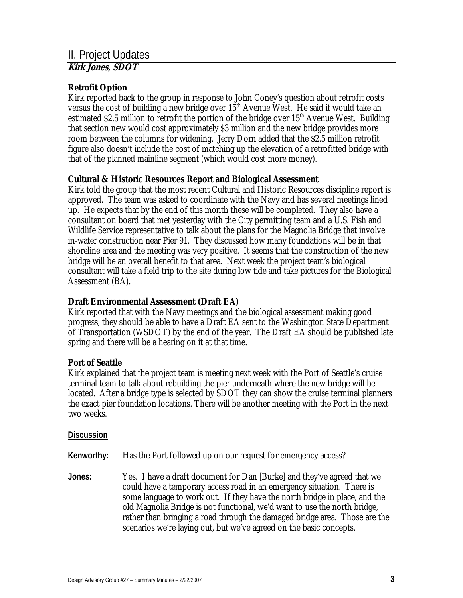### **Retrofit Option**

Kirk reported back to the group in response to John Coney's question about retrofit costs versus the cost of building a new bridge over  $15<sup>th</sup>$  Avenue West. He said it would take an estimated \$2.5 million to retrofit the portion of the bridge over  $15<sup>th</sup>$  Avenue West. Building that section new would cost approximately \$3 million and the new bridge provides more room between the columns for widening. Jerry Dorn added that the \$2.5 million retrofit figure also doesn't include the cost of matching up the elevation of a retrofitted bridge with that of the planned mainline segment (which would cost more money).

### **Cultural & Historic Resources Report and Biological Assessment**

Kirk told the group that the most recent Cultural and Historic Resources discipline report is approved. The team was asked to coordinate with the Navy and has several meetings lined up. He expects that by the end of this month these will be completed. They also have a consultant on board that met yesterday with the City permitting team and a U.S. Fish and Wildlife Service representative to talk about the plans for the Magnolia Bridge that involve in-water construction near Pier 91. They discussed how many foundations will be in that shoreline area and the meeting was very positive. It seems that the construction of the new bridge will be an overall benefit to that area. Next week the project team's biological consultant will take a field trip to the site during low tide and take pictures for the Biological Assessment (BA).

#### **Draft Environmental Assessment (Draft EA)**

Kirk reported that with the Navy meetings and the biological assessment making good progress, they should be able to have a Draft EA sent to the Washington State Department of Transportation (WSDOT) by the end of the year. The Draft EA should be published late spring and there will be a hearing on it at that time.

### **Port of Seattle**

Kirk explained that the project team is meeting next week with the Port of Seattle's cruise terminal team to talk about rebuilding the pier underneath where the new bridge will be located. After a bridge type is selected by SDOT they can show the cruise terminal planners the exact pier foundation locations. There will be another meeting with the Port in the next two weeks.

#### **Discussion**

**Kenworthy:** Has the Port followed up on our request for emergency access?

**Jones:** Yes. I have a draft document for Dan [Burke] and they've agreed that we could have a temporary access road in an emergency situation. There is some language to work out. If they have the north bridge in place, and the old Magnolia Bridge is not functional, we'd want to use the north bridge, rather than bringing a road through the damaged bridge area. Those are the scenarios we're laying out, but we've agreed on the basic concepts.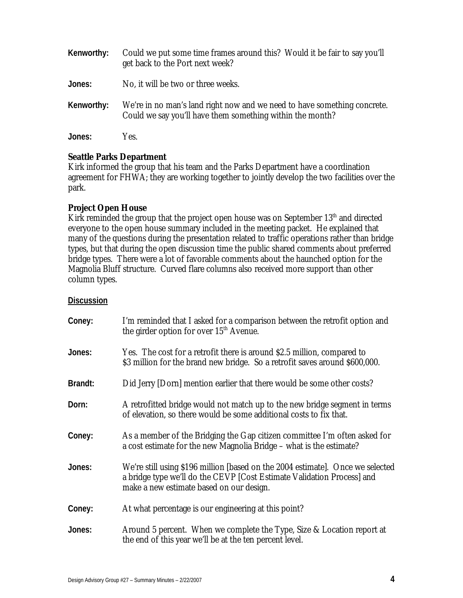| Kenworthy: | Could we put some time frames around this? Would it be fair to say you'll<br>get back to the Port next week?                          |
|------------|---------------------------------------------------------------------------------------------------------------------------------------|
| Jones:     | No, it will be two or three weeks.                                                                                                    |
| Kenworthy: | We're in no man's land right now and we need to have something concrete.<br>Could we say you'll have them something within the month? |
| Jones:     | Yes.                                                                                                                                  |

### **Seattle Parks Department**

Kirk informed the group that his team and the Parks Department have a coordination agreement for FHWA; they are working together to jointly develop the two facilities over the park.

### **Project Open House**

Kirk reminded the group that the project open house was on September 13<sup>th</sup> and directed everyone to the open house summary included in the meeting packet. He explained that many of the questions during the presentation related to traffic operations rather than bridge types, but that during the open discussion time the public shared comments about preferred bridge types. There were a lot of favorable comments about the haunched option for the Magnolia Bluff structure. Curved flare columns also received more support than other column types.

#### **Discussion**

| Coney:  | I'm reminded that I asked for a comparison between the retrofit option and<br>the girder option for over $15th$ Avenue.                                                                              |
|---------|------------------------------------------------------------------------------------------------------------------------------------------------------------------------------------------------------|
| Jones:  | Yes. The cost for a retrofit there is around \$2.5 million, compared to<br>\$3 million for the brand new bridge. So a retrofit saves around \$600,000.                                               |
| Brandt: | Did Jerry [Dorn] mention earlier that there would be some other costs?                                                                                                                               |
| Dorn:   | A retrofitted bridge would not match up to the new bridge segment in terms<br>of elevation, so there would be some additional costs to fix that.                                                     |
| Coney:  | As a member of the Bridging the Gap citizen committee I'm often asked for<br>a cost estimate for the new Magnolia Bridge – what is the estimate?                                                     |
| Jones:  | We're still using \$196 million [based on the 2004 estimate]. Once we selected<br>a bridge type we'll do the CEVP [Cost Estimate Validation Process] and<br>make a new estimate based on our design. |
| Coney:  | At what percentage is our engineering at this point?                                                                                                                                                 |
| Jones:  | Around 5 percent. When we complete the Type, Size & Location report at<br>the end of this year we'll be at the ten percent level.                                                                    |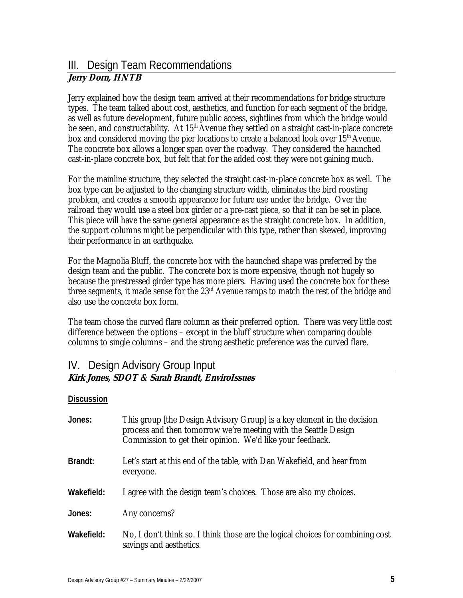# III. Design Team Recommendations **Jerry Dorn, HNTB**

Jerry explained how the design team arrived at their recommendations for bridge structure types. The team talked about cost, aesthetics, and function for each segment of the bridge, as well as future development, future public access, sightlines from which the bridge would be seen, and constructability. At 15<sup>th</sup> Avenue they settled on a straight cast-in-place concrete box and considered moving the pier locations to create a balanced look over 15<sup>th</sup> Avenue. The concrete box allows a longer span over the roadway. They considered the haunched cast-in-place concrete box, but felt that for the added cost they were not gaining much.

For the mainline structure, they selected the straight cast-in-place concrete box as well. The box type can be adjusted to the changing structure width, eliminates the bird roosting problem, and creates a smooth appearance for future use under the bridge. Over the railroad they would use a steel box girder or a pre-cast piece, so that it can be set in place. This piece will have the same general appearance as the straight concrete box. In addition, the support columns might be perpendicular with this type, rather than skewed, improving their performance in an earthquake.

For the Magnolia Bluff, the concrete box with the haunched shape was preferred by the design team and the public. The concrete box is more expensive, though not hugely so because the prestressed girder type has more piers. Having used the concrete box for these three segments, it made sense for the  $23<sup>rd</sup>$  Avenue ramps to match the rest of the bridge and also use the concrete box form.

The team chose the curved flare column as their preferred option. There was very little cost difference between the options – except in the bluff structure when comparing double columns to single columns – and the strong aesthetic preference was the curved flare.

## IV. Design Advisory Group Input **Kirk Jones, SDOT & Sarah Brandt, EnviroIssues**

#### **Discussion**

| Jones:     | This group [the Design Advisory Group] is a key element in the decision<br>process and then tomorrow we're meeting with the Seattle Design<br>Commission to get their opinion. We'd like your feedback. |
|------------|---------------------------------------------------------------------------------------------------------------------------------------------------------------------------------------------------------|
| Brandt:    | Let's start at this end of the table, with Dan Wakefield, and hear from<br>everyone.                                                                                                                    |
| Wakefield: | I agree with the design team's choices. Those are also my choices.                                                                                                                                      |
| Jones:     | Any concerns?                                                                                                                                                                                           |
| Wakefield: | No, I don't think so. I think those are the logical choices for combining cost<br>savings and aesthetics.                                                                                               |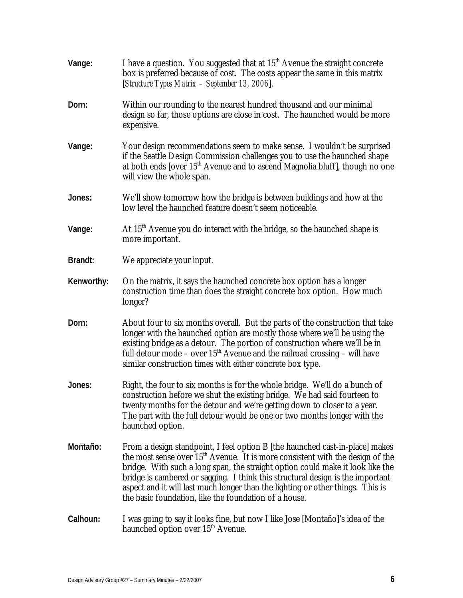| Vange:     | I have a question. You suggested that at 15 <sup>th</sup> Avenue the straight concrete<br>box is preferred because of cost. The costs appear the same in this matrix<br>[Structure Types Matrix - September 13, 2006].                                                                                                                                                                                                                                                                   |
|------------|------------------------------------------------------------------------------------------------------------------------------------------------------------------------------------------------------------------------------------------------------------------------------------------------------------------------------------------------------------------------------------------------------------------------------------------------------------------------------------------|
| Dorn:      | Within our rounding to the nearest hundred thousand and our minimal<br>design so far, those options are close in cost. The haunched would be more<br>expensive.                                                                                                                                                                                                                                                                                                                          |
| Vange:     | Your design recommendations seem to make sense. I wouldn't be surprised<br>if the Seattle Design Commission challenges you to use the haunched shape<br>at both ends [over 15 <sup>th</sup> Avenue and to ascend Magnolia bluff], though no one<br>will view the whole span.                                                                                                                                                                                                             |
| Jones:     | We'll show tomorrow how the bridge is between buildings and how at the<br>low level the haunched feature doesn't seem noticeable.                                                                                                                                                                                                                                                                                                                                                        |
| Vange:     | At $15th$ Avenue you do interact with the bridge, so the haunched shape is<br>more important.                                                                                                                                                                                                                                                                                                                                                                                            |
| Brandt:    | We appreciate your input.                                                                                                                                                                                                                                                                                                                                                                                                                                                                |
| Kenworthy: | On the matrix, it says the haunched concrete box option has a longer<br>construction time than does the straight concrete box option. How much<br>longer?                                                                                                                                                                                                                                                                                                                                |
| Dorn:      | About four to six months overall. But the parts of the construction that take<br>longer with the haunched option are mostly those where we'll be using the<br>existing bridge as a detour. The portion of construction where we'll be in<br>full detour mode – over $15th$ Avenue and the railroad crossing – will have<br>similar construction times with either concrete box type.                                                                                                     |
| Jones:     | Right, the four to six months is for the whole bridge. We'll do a bunch of<br>construction before we shut the existing bridge. We had said fourteen to<br>twenty months for the detour and we're getting down to closer to a year.<br>The part with the full detour would be one or two months longer with the<br>haunched option.                                                                                                                                                       |
| Montaño:   | From a design standpoint, I feel option B [the haunched cast-in-place] makes<br>the most sense over 15 <sup>th</sup> Avenue. It is more consistent with the design of the<br>bridge. With such a long span, the straight option could make it look like the<br>bridge is cambered or sagging. I think this structural design is the important<br>aspect and it will last much longer than the lighting or other things. This is<br>the basic foundation, like the foundation of a house. |
| Calhoun:   | I was going to say it looks fine, but now I like Jose [Montaño]'s idea of the<br>haunched option over 15 <sup>th</sup> Avenue.                                                                                                                                                                                                                                                                                                                                                           |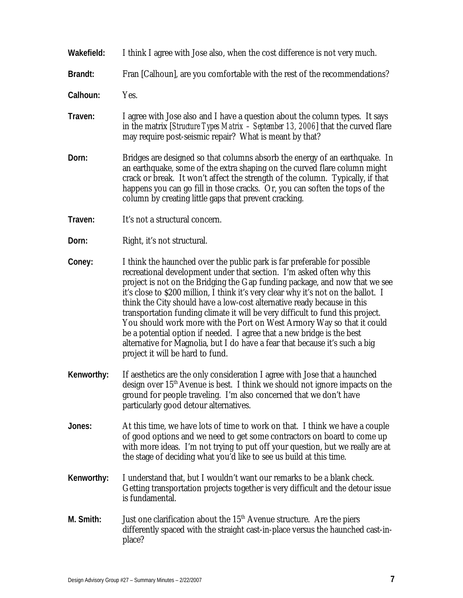- **Wakefield:** I think I agree with Jose also, when the cost difference is not very much.
- **Brandt:** Fran [Calhoun], are you comfortable with the rest of the recommendations?

**Calhoun:** Yes.

- **Traven:** I agree with Jose also and I have a question about the column types. It says in the matrix [*Structure Types Matrix – September 13, 2006*] that the curved flare may require post-seismic repair? What is meant by that?
- **Dorn:** Bridges are designed so that columns absorb the energy of an earthquake. In an earthquake, some of the extra shaping on the curved flare column might crack or break. It won't affect the strength of the column. Typically, if that happens you can go fill in those cracks. Or, you can soften the tops of the column by creating little gaps that prevent cracking.
- **Traven:** It's not a structural concern.
- **Dorn:** Right, it's not structural.
- **Coney:** I think the haunched over the public park is far preferable for possible recreational development under that section. I'm asked often why this project is not on the Bridging the Gap funding package, and now that we see it's close to \$200 million, I think it's very clear why it's not on the ballot. I think the City should have a low-cost alternative ready because in this transportation funding climate it will be very difficult to fund this project. You should work more with the Port on West Armory Way so that it could be a potential option if needed. I agree that a new bridge is the best alternative for Magnolia, but I do have a fear that because it's such a big project it will be hard to fund.
- **Kenworthy:** If aesthetics are the only consideration I agree with Jose that a haunched design over 15<sup>th</sup> Avenue is best. I think we should not ignore impacts on the ground for people traveling. I'm also concerned that we don't have particularly good detour alternatives.
- **Jones:** At this time, we have lots of time to work on that. I think we have a couple of good options and we need to get some contractors on board to come up with more ideas. I'm not trying to put off your question, but we really are at the stage of deciding what you'd like to see us build at this time.
- **Kenworthy:** I understand that, but I wouldn't want our remarks to be a blank check. Getting transportation projects together is very difficult and the detour issue is fundamental.
- M. Smith: Just one clarification about the 15<sup>th</sup> Avenue structure. Are the piers differently spaced with the straight cast-in-place versus the haunched cast-inplace?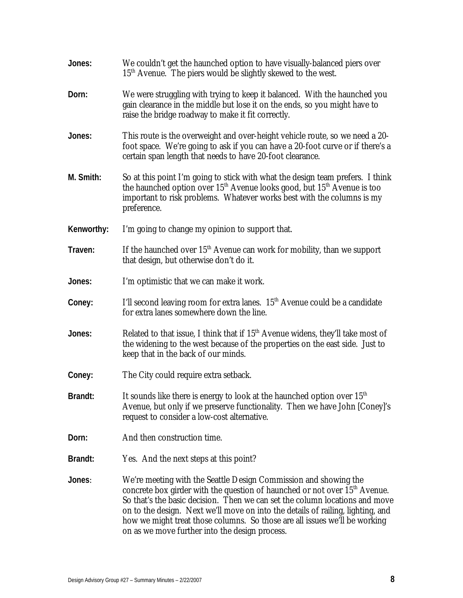| Jones:     | We couldn't get the haunched option to have visually-balanced piers over<br>15 <sup>th</sup> Avenue. The piers would be slightly skewed to the west.                                                                                                                                                                                                                                                                                                         |
|------------|--------------------------------------------------------------------------------------------------------------------------------------------------------------------------------------------------------------------------------------------------------------------------------------------------------------------------------------------------------------------------------------------------------------------------------------------------------------|
| Dorn:      | We were struggling with trying to keep it balanced. With the haunched you<br>gain clearance in the middle but lose it on the ends, so you might have to<br>raise the bridge roadway to make it fit correctly.                                                                                                                                                                                                                                                |
| Jones:     | This route is the overweight and over-height vehicle route, so we need a 20-<br>foot space. We're going to ask if you can have a 20-foot curve or if there's a<br>certain span length that needs to have 20-foot clearance.                                                                                                                                                                                                                                  |
| M. Smith:  | So at this point I'm going to stick with what the design team prefers. I think<br>the haunched option over $15th$ Avenue looks good, but $15th$ Avenue is too<br>important to risk problems. Whatever works best with the columns is my<br>preference.                                                                                                                                                                                                       |
| Kenworthy: | I'm going to change my opinion to support that.                                                                                                                                                                                                                                                                                                                                                                                                              |
| Traven:    | If the haunched over $15th$ Avenue can work for mobility, than we support<br>that design, but otherwise don't do it.                                                                                                                                                                                                                                                                                                                                         |
| Jones:     | I'm optimistic that we can make it work.                                                                                                                                                                                                                                                                                                                                                                                                                     |
| Coney:     | I'll second leaving room for extra lanes. 15 <sup>th</sup> Avenue could be a candidate<br>for extra lanes somewhere down the line.                                                                                                                                                                                                                                                                                                                           |
| Jones:     | Related to that issue, I think that if $15th$ Avenue widens, they'll take most of<br>the widening to the west because of the properties on the east side. Just to<br>keep that in the back of our minds.                                                                                                                                                                                                                                                     |
| Coney:     | The City could require extra setback.                                                                                                                                                                                                                                                                                                                                                                                                                        |
| Brandt:    | It sounds like there is energy to look at the haunched option over 15 <sup>th</sup><br>Avenue, but only if we preserve functionality. Then we have John [Coney]'s<br>request to consider a low-cost alternative.                                                                                                                                                                                                                                             |
| Dorn:      | And then construction time.                                                                                                                                                                                                                                                                                                                                                                                                                                  |
| Brandt:    | Yes. And the next steps at this point?                                                                                                                                                                                                                                                                                                                                                                                                                       |
| Jones:     | We're meeting with the Seattle Design Commission and showing the<br>concrete box girder with the question of haunched or not over 15 <sup>th</sup> Avenue.<br>So that's the basic decision. Then we can set the column locations and move<br>on to the design. Next we'll move on into the details of railing, lighting, and<br>how we might treat those columns. So those are all issues we'll be working<br>on as we move further into the design process. |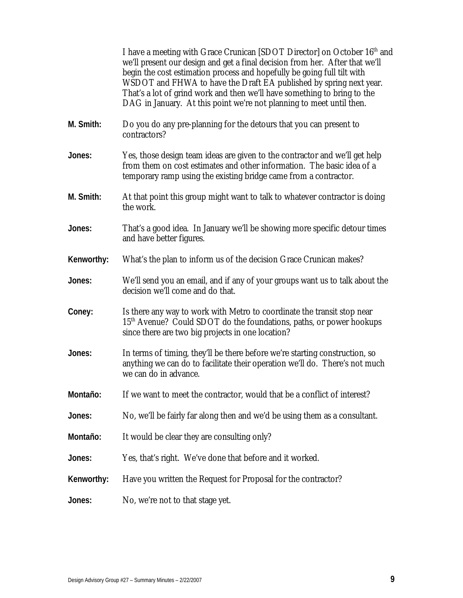|            | I have a meeting with Grace Crunican [SDOT Director] on October 16 <sup>th</sup> and<br>we'll present our design and get a final decision from her. After that we'll<br>begin the cost estimation process and hopefully be going full tilt with<br>WSDOT and FHWA to have the Draft EA published by spring next year.<br>That's a lot of grind work and then we'll have something to bring to the<br>DAG in January. At this point we're not planning to meet until then. |
|------------|---------------------------------------------------------------------------------------------------------------------------------------------------------------------------------------------------------------------------------------------------------------------------------------------------------------------------------------------------------------------------------------------------------------------------------------------------------------------------|
| M. Smith:  | Do you do any pre-planning for the detours that you can present to<br>contractors?                                                                                                                                                                                                                                                                                                                                                                                        |
| Jones:     | Yes, those design team ideas are given to the contractor and we'll get help<br>from them on cost estimates and other information. The basic idea of a<br>temporary ramp using the existing bridge came from a contractor.                                                                                                                                                                                                                                                 |
| M. Smith:  | At that point this group might want to talk to whatever contractor is doing<br>the work.                                                                                                                                                                                                                                                                                                                                                                                  |
| Jones:     | That's a good idea. In January we'll be showing more specific detour times<br>and have better figures.                                                                                                                                                                                                                                                                                                                                                                    |
| Kenworthy: | What's the plan to inform us of the decision Grace Crunican makes?                                                                                                                                                                                                                                                                                                                                                                                                        |
| Jones:     | We'll send you an email, and if any of your groups want us to talk about the<br>decision we'll come and do that.                                                                                                                                                                                                                                                                                                                                                          |
| Coney:     | Is there any way to work with Metro to coordinate the transit stop near<br>15 <sup>th</sup> Avenue? Could SDOT do the foundations, paths, or power hookups<br>since there are two big projects in one location?                                                                                                                                                                                                                                                           |
| Jones:     | In terms of timing, they'll be there before we're starting construction, so<br>anything we can do to facilitate their operation we'll do. There's not much<br>we can do in advance.                                                                                                                                                                                                                                                                                       |
| Montaño:   | If we want to meet the contractor, would that be a conflict of interest?                                                                                                                                                                                                                                                                                                                                                                                                  |
| Jones:     | No, we'll be fairly far along then and we'd be using them as a consultant.                                                                                                                                                                                                                                                                                                                                                                                                |
| Montaño:   | It would be clear they are consulting only?                                                                                                                                                                                                                                                                                                                                                                                                                               |
| Jones:     | Yes, that's right. We've done that before and it worked.                                                                                                                                                                                                                                                                                                                                                                                                                  |
| Kenworthy: | Have you written the Request for Proposal for the contractor?                                                                                                                                                                                                                                                                                                                                                                                                             |
| Jones:     | No, we're not to that stage yet.                                                                                                                                                                                                                                                                                                                                                                                                                                          |